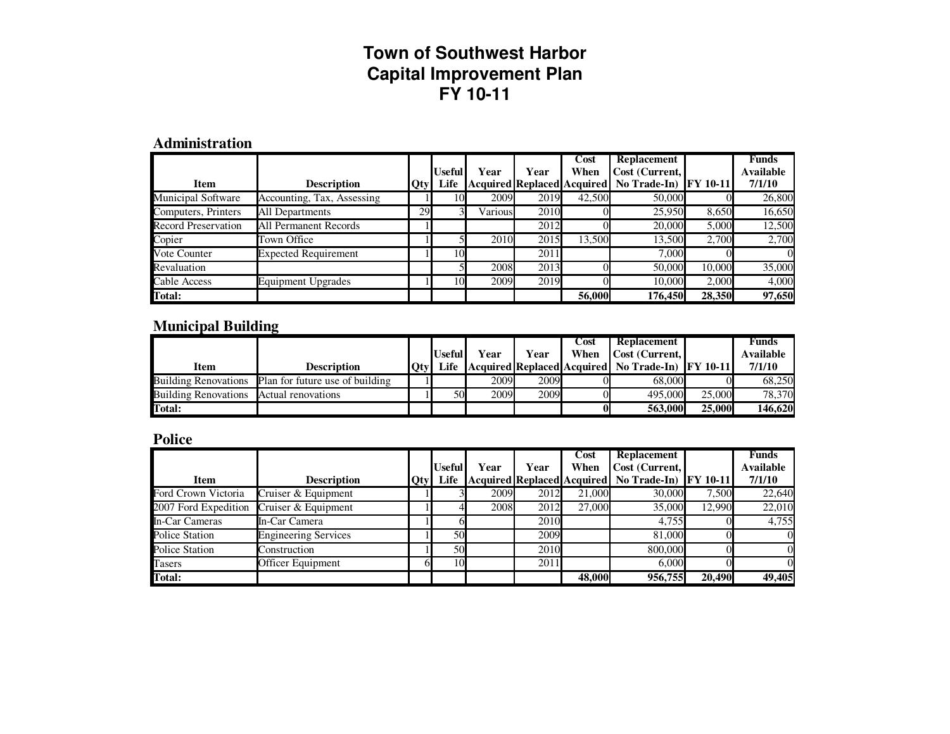#### **Administration**

|                            |                              |     |               |         |      | Cost                       | <b>Replacement</b> |                 | Funds     |
|----------------------------|------------------------------|-----|---------------|---------|------|----------------------------|--------------------|-----------------|-----------|
|                            |                              |     | <b>Useful</b> | Year    | Year | When                       | Cost (Current,     |                 | Available |
| <b>Item</b>                | <b>Description</b>           | Qty | Life          |         |      | Acquired Replaced Acquired | No Trade-In)       | <b>FY 10-11</b> | 7/1/10    |
| <b>Municipal Software</b>  | Accounting, Tax, Assessing   |     | 10            | 2009    | 2019 | 42,500                     | 50,000             |                 | 26,800    |
| Computers, Printers        | All Departments              | 29  |               | Various | 2010 |                            | 25,950             | 8,650           | 16,650    |
| <b>Record Preservation</b> | <b>All Permanent Records</b> |     |               |         | 2012 |                            | 20,000             | 5.000           | 12,500    |
| Copier                     | Town Office                  |     |               | 2010    | 2015 | 13.500                     | 13.500             | 2.700           | 2,700     |
| Vote Counter               | <b>Expected Requirement</b>  |     | ιΟΙ           |         | 2011 |                            | 7.000              |                 |           |
| Revaluation                |                              |     |               | 2008    | 2013 |                            | 50,000             | 10.000          | 35,000    |
| Cable Access               | Equipment Upgrades           |     | 101           | 2009    | 2019 |                            | 10.000             | 2,000           | 4,000     |
| <b>Total:</b>              |                              |     |               |         |      | 56,000                     | 176.450            | 28,350          | 97,650    |

### **Municipal Building**

|                                         |                                                      | Useful      | Year | Year | Cost<br>When | Replacement<br>Cost (Current.                           |               | Funds<br><b>Available</b> |
|-----------------------------------------|------------------------------------------------------|-------------|------|------|--------------|---------------------------------------------------------|---------------|---------------------------|
| <b>Item</b>                             | Description                                          | 'Otvl Life. |      |      |              | Acquired   Replaced   Acquired   No Trade-In   FY 10-11 |               | 7/1/10                    |
|                                         | Building Renovations Plan for future use of building |             | 2009 | 2009 |              | 68,000                                                  |               | 68.250                    |
| Building Renovations Actual renovations |                                                      | 50I         | 2009 | 2009 |              | 495,000                                                 | 25,000        | 78,370                    |
| Total:                                  |                                                      |             |      |      |              | 563,000                                                 | <b>25,000</b> | 146,620                   |

#### **Police**

|                       |                             |     |        |      |      | Cost   | <b>Replacement</b>                       |                 | <b>Funds</b>     |
|-----------------------|-----------------------------|-----|--------|------|------|--------|------------------------------------------|-----------------|------------------|
|                       |                             |     | Useful | Year | Year | When   | Cost (Current,                           |                 | <b>Available</b> |
| <b>Item</b>           | <b>Description</b>          | Qty | Life   |      |      |        | Acquired Replaced Acquired   No Trade-In | <b>FY 10-11</b> | 7/1/10           |
| Ford Crown Victoria   | Cruiser & Equipment         |     |        | 2009 | 2012 | 21,000 | 30,000                                   | 7,500           | 22,640           |
| 2007 Ford Expedition  | Cruiser & Equipment         |     |        | 2008 | 2012 | 27,000 | 35,000                                   | 12.990          | 22,010           |
| In-Car Cameras        | In-Car Camera               |     |        |      | 2010 |        | 4.755                                    |                 | 4,755            |
| <b>Police Station</b> | <b>Engineering Services</b> |     | 50     |      | 2009 |        | 81,000                                   |                 |                  |
| <b>Police Station</b> | Construction                |     | 50I    |      | 2010 |        | 800,000                                  |                 |                  |
| Tasers                | Officer Equipment           |     | 10     |      | 2011 |        | 6.000                                    |                 | ΩI               |
| Total:                |                             |     |        |      |      | 48,000 | 956,755                                  | 20,490          | 49,405           |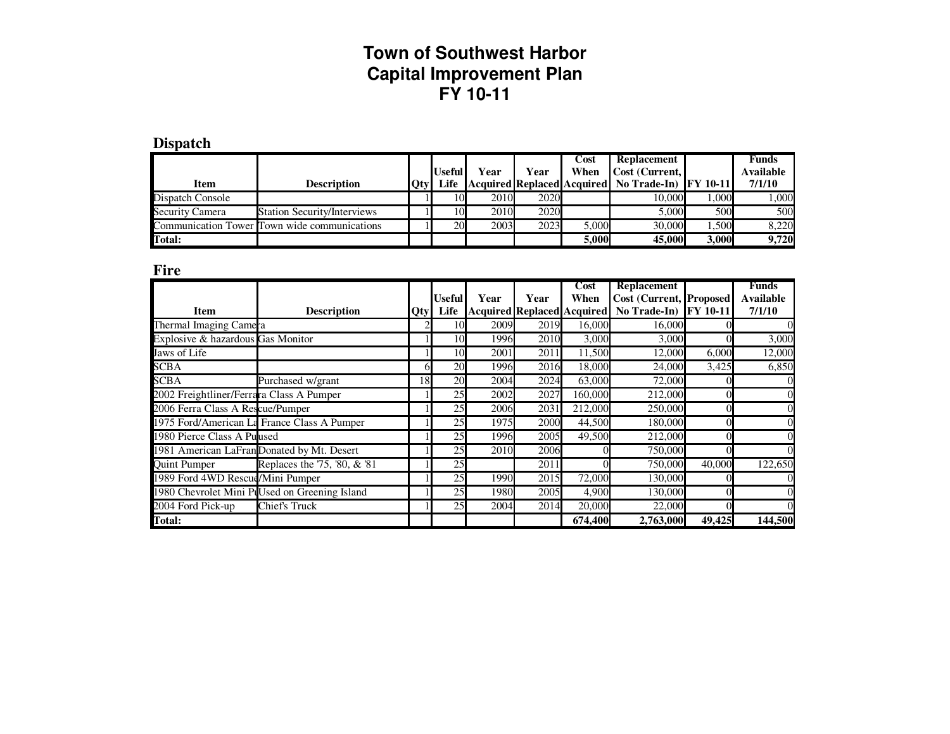| Dispatch |
|----------|
|----------|

|                  |                                              |         | Useful | Year              | Year | Cost<br>When | <b>Replacement</b><br>Cost (Current,                |              | <b>Funds</b><br><b>Available</b> |
|------------------|----------------------------------------------|---------|--------|-------------------|------|--------------|-----------------------------------------------------|--------------|----------------------------------|
| Item             | <b>Description</b>                           | $ $ Otv | Life   |                   |      |              | Acquired Replaced Acquired   No Trade-In   FY 10-11 |              | 7/1/10                           |
| Dispatch Console |                                              |         | 10     | 2010              | 2020 |              | 10.000                                              | .000         | 1,000                            |
| Security Camera  | <b>Station Security/Interviews</b>           |         | 10     | 2010              | 2020 |              | 5.000                                               | 500          | 500                              |
|                  | Communication Tower Town wide communications |         | 20     | 2003 <sub>l</sub> | 2023 | 5.000        | 30,000                                              | .500         | 8.220                            |
| Total:           |                                              |         |        |                   |      | 5.000l       | 45,000                                              | <b>3.000</b> | 9,720                            |

**Fire**

|                                          |                                               |     |               |       |      | Cost                       | <b>Replacement</b>              |                 | <b>Funds</b>     |
|------------------------------------------|-----------------------------------------------|-----|---------------|-------|------|----------------------------|---------------------------------|-----------------|------------------|
|                                          |                                               |     | <b>Useful</b> | Year  | Year | When                       | <b>Cost (Current, Proposed)</b> |                 | <b>Available</b> |
| <b>Item</b>                              | <b>Description</b>                            | Qty | Life          |       |      | Acquired Replaced Acquired | No Trade-In)                    | <b>FY 10-11</b> | 7/1/10           |
| Thermal Imaging Camera                   |                                               |     | 10            | 2009  | 2019 | 16,000                     | 16,000                          |                 |                  |
| Explosive & hazardous Gas Monitor        |                                               |     | 10            | 1996  | 2010 | 3,000                      | 3,000                           |                 | 3,000            |
| Jaws of Life                             |                                               |     | 10            | 2001  | 2011 | 11,500                     | 12,000                          | 6.000           | 12,000           |
| <b>SCBA</b>                              |                                               | 61  | 20            | 1996  | 2016 | 18,000                     | 24,000                          | 3,425           | 6,850            |
| <b>SCBA</b>                              | Purchased w/grant                             | 18  | 20            | 2004  | 2024 | 63,000                     | 72,000                          |                 |                  |
| 2002 Freightliner/Ferrara Class A Pumper |                                               |     | 25            | 2002  | 2027 | 160,000                    | 212,000                         |                 |                  |
| 2006 Ferra Class A Rescue/Pumper         |                                               |     | 25            | 2006  | 2031 | 212,000                    | 250,000                         |                 | OI               |
|                                          | 1975 Ford/American La France Class A Pumper   |     | 25            | 1975  | 2000 | 44,500                     | 180,000                         |                 | OI               |
| 1980 Pierce Class A Pulused              |                                               |     | 25            | 1996  | 2005 | 49,500                     | 212,000                         |                 | $\Omega$         |
|                                          | 1981 American LaFran Donated by Mt. Desert    |     | 25            | 2010  | 2006 |                            | 750,000                         |                 | ΩI               |
| <b>Quint Pumper</b>                      | Replaces the '75, '80, & '81                  |     | 25            |       | 2011 |                            | 750,000                         | 40,000          | 122,650          |
| 1989 Ford 4WD Rescud/Mini Pumper         |                                               |     | 25            | 1990  | 2015 | 72,000                     | 130,000                         |                 |                  |
|                                          | 1980 Chevrolet Mini PlUsed on Greening Island |     | 25            | 1980  | 2005 | 4.900                      | 130.000                         |                 | ΩI               |
| 2004 Ford Pick-up                        | Chief's Truck                                 |     | 25            | 2004l | 2014 | 20,000                     | 22,000                          |                 |                  |
| <b>Total:</b>                            |                                               |     |               |       |      | 674,400                    | 2,763,000                       | 49,425          | 144,500          |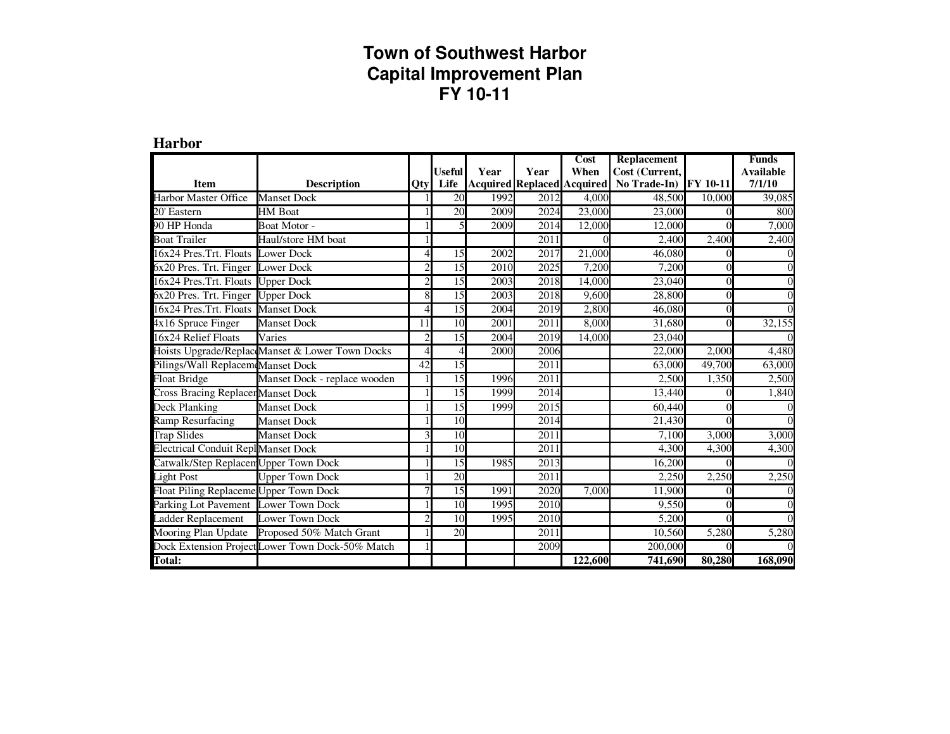**Harbor** 

|                                            |                                                  |                          |               |      |                                   | Cost    | <b>Replacement</b>   |                 | <b>Funds</b>     |
|--------------------------------------------|--------------------------------------------------|--------------------------|---------------|------|-----------------------------------|---------|----------------------|-----------------|------------------|
|                                            |                                                  |                          | <b>Useful</b> | Year | Year                              | When    | Cost (Current,       |                 | <b>Available</b> |
| <b>Item</b>                                | <b>Description</b>                               | Otyl                     | Life          |      | <b>Acquired Replaced Acquired</b> |         | No Trade-In)         | <b>FY 10-11</b> | 7/1/10           |
| <b>Harbor Master Office</b>                | <b>Manset Dock</b>                               |                          | 20            | 1992 | 2012                              | 4,000   | 48,500               | 10,000          | 39,085           |
| 20' Eastern                                | <b>HM</b> Boat                                   |                          | 20            | 2009 | 2024                              | 23,000  | 23,000               |                 | 800              |
| 90 HP Honda                                | Boat Motor -                                     |                          | 5             | 2009 | 2014                              | 12,000  | 12,000               |                 | 7,000            |
| <b>Boat Trailer</b>                        | Haul/store HM boat                               |                          |               |      | 2011                              |         | 2,400                | 2,400           | 2,400            |
| 16x24 Pres.Trt. Floats Lower Dock          |                                                  |                          | 15            | 2002 | 2017                              | 21,000  | 46.080               | $\Omega$        | $\overline{0}$   |
| 6x20 Pres. Trt. Finger Lower Dock          |                                                  | $\overline{\mathcal{L}}$ | 15            | 2010 | 2025                              | 7,200   | 7,200                |                 | $\Omega$         |
| 16x24 Pres.Trt. Floats Upper Dock          |                                                  | $\overline{c}$           | 15            | 2003 | 2018                              | 14,000  | 23,040               | 0               | $\Omega$         |
| 6x20 Pres. Trt. Finger                     | <b>Upper Dock</b>                                | $\overline{8}$           | 15            | 2003 | 2018                              | 9,600   | 28,800               | 0               | $\Omega$         |
| 16x24 Pres.Trt. Floats Manset Dock         |                                                  | 4                        | 15            | 2004 | 2019                              | 2,800   | 46,080               | $\Omega$        | ΩI               |
| 4x16 Spruce Finger                         | <b>Manset Dock</b>                               | 11                       | 10            | 2001 | 2011                              | 8,000   | 31,680               | 0               | 32,155           |
| 16x24 Relief Floats                        | Varies                                           | $\overline{2}$           | 15            | 2004 | 2019                              | 14,000  | 23,040               |                 | $\Omega$         |
|                                            | Hoists Upgrade/ReplaceManset & Lower Town Docks  | 4                        | 4             | 2000 | 2006                              |         | 22,000               | 2,000           | 4,480            |
| Pilings/Wall Replacem Manset Dock          |                                                  | 42                       | 15            |      | 2011                              |         | 63,000               | 49,700          | 63,000           |
| <b>Float Bridge</b>                        | Manset Dock - replace wooden                     |                          | 15            | 1996 | 2011                              |         | 2,500                | 1,350           | 2,500            |
| <b>Cross Bracing Replacer Manset Dock</b>  |                                                  |                          | 15            | 1999 | 2014                              |         | 13,440               |                 | 1,840            |
| <b>Deck Planking</b>                       | Manset Dock                                      |                          | 15            | 1999 | 2015                              |         | 60,440               |                 |                  |
| Ramp Resurfacing                           | <b>Manset Dock</b>                               |                          | 10            |      | 2014                              |         | 21,430               |                 | $\Omega$         |
| <b>Trap Slides</b>                         | <b>Manset Dock</b>                               | 3                        | 10            |      | 2011                              |         | 7,100                | 3,000           | 3,000            |
| <b>Electrical Conduit Repl</b> Manset Dock |                                                  |                          | 10            |      | 2011                              |         | 4,300                | 4,300           | 4,300            |
| Catwalk/Step Replacen Upper Town Dock      |                                                  |                          | 15            | 1985 | 2013                              |         | 16,200               | $\Omega$        | $\Omega$         |
| Light Post                                 | <b>Upper Town Dock</b>                           |                          | 20            |      | 2011                              |         | 2,250                | 2,250           | 2,250            |
| Float Piling Replaceme Upper Town Dock     |                                                  | 7                        | 15            | 1991 | 2020                              | 7,000   | 11,900               |                 | $\Omega$         |
| Parking Lot Pavement Lower Town Dock       |                                                  |                          | 10            | 1995 | 2010                              |         | 9,550                |                 | $\Omega$         |
| Ladder Replacement                         | Lower Town Dock                                  | $\overline{c}$           | 10            | 1995 | 2010                              |         | 5,200                | 0               | ΩI               |
| Mooring Plan Update                        | Proposed 50% Match Grant                         |                          | 20            |      | 2011                              |         | 10,560               | 5,280           | 5,280            |
|                                            | Dock Extension Project Lower Town Dock-50% Match |                          |               |      | 2009                              |         | $\overline{200,000}$ |                 |                  |
| <b>Total:</b>                              |                                                  |                          |               |      |                                   | 122,600 | 741,690              | 80,280          | 168,090          |